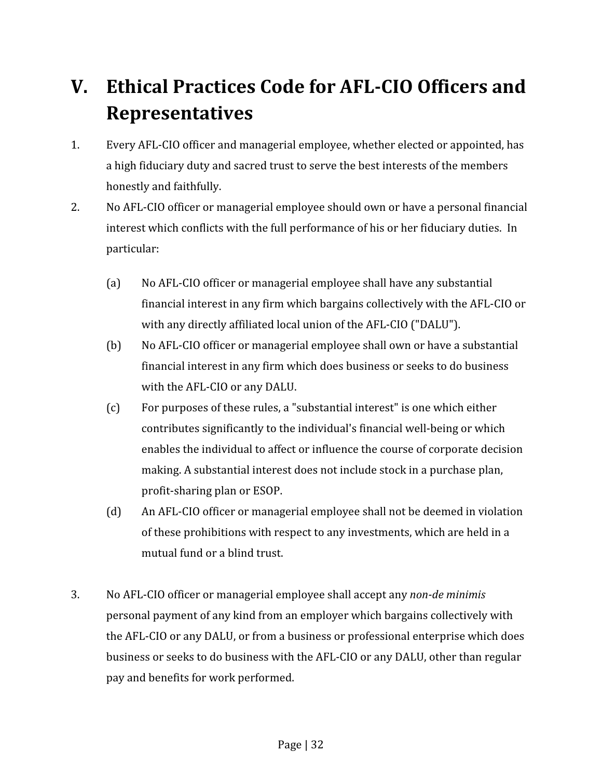## V. Ethical Practices Code for AFL-CIO Officers and Representatives

- 1. Every AFL-CIO officer and managerial employee, whether elected or appointed, has a high fiduciary duty and sacred trust to serve the best interests of the members honestly and faithfully.
- 2. No AFL-CIO officer or managerial employee should own or have a personal financial interest which conflicts with the full performance of his or her fiduciary duties. In particular:
	- (a) No AFL-CIO officer or managerial employee shall have any substantial financial interest in any firm which bargains collectively with the AFL-CIO or with any directly affiliated local union of the AFL-CIO ("DALU").
	- (b) No AFL-CIO officer or managerial employee shall own or have a substantial financial interest in any firm which does business or seeks to do business with the AFL-CIO or any DALU.
	- (c) For purposes of these rules, a "substantial interest" is one which either contributes significantly to the individual's financial well-being or which enables the individual to affect or influence the course of corporate decision making. A substantial interest does not include stock in a purchase plan, profit-sharing plan or ESOP.
	- (d) An AFL-CIO officer or managerial employee shall not be deemed in violation of these prohibitions with respect to any investments, which are held in a mutual fund or a blind trust.
- 3. No AFL-CIO officer or managerial employee shall accept any non-de minimis personal payment of any kind from an employer which bargains collectively with the AFL-CIO or any DALU, or from a business or professional enterprise which does business or seeks to do business with the AFL-CIO or any DALU, other than regular pay and benefits for work performed.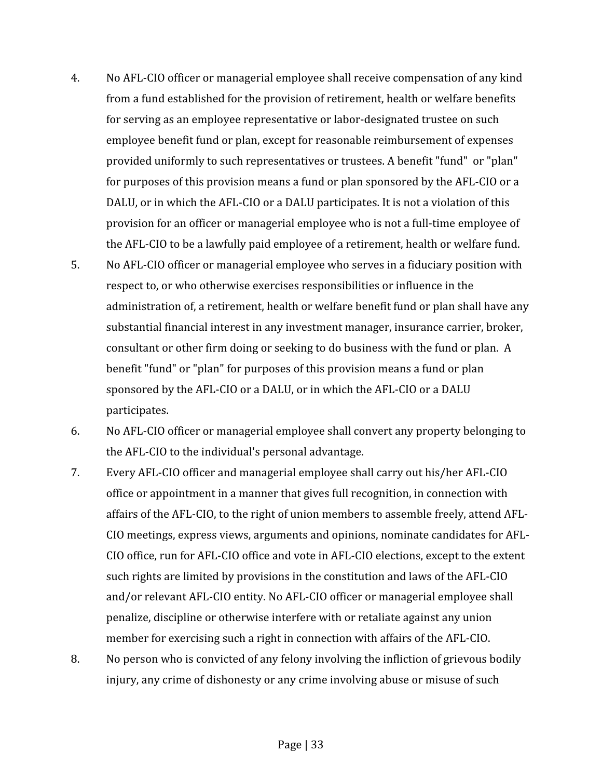- 4. No AFL-CIO officer or managerial employee shall receive compensation of any kind from a fund established for the provision of retirement, health or welfare benefits for serving as an employee representative or labor-designated trustee on such employee benefit fund or plan, except for reasonable reimbursement of expenses provided uniformly to such representatives or trustees. A benefit "fund" or "plan" for purposes of this provision means a fund or plan sponsored by the AFL-CIO or a DALU, or in which the AFL-CIO or a DALU participates. It is not a violation of this provision for an officer or managerial employee who is not a full-time employee of the AFL-CIO to be a lawfully paid employee of a retirement, health or welfare fund.
- 5. No AFL-CIO officer or managerial employee who serves in a fiduciary position with respect to, or who otherwise exercises responsibilities or influence in the administration of, a retirement, health or welfare benefit fund or plan shall have any substantial financial interest in any investment manager, insurance carrier, broker, consultant or other firm doing or seeking to do business with the fund or plan. A benefit "fund" or "plan" for purposes of this provision means a fund or plan sponsored by the AFL-CIO or a DALU, or in which the AFL-CIO or a DALU participates.
- 6. No AFL-CIO officer or managerial employee shall convert any property belonging to the AFL-CIO to the individual's personal advantage.
- 7. Every AFL-CIO officer and managerial employee shall carry out his/her AFL-CIO office or appointment in a manner that gives full recognition, in connection with affairs of the AFL-CIO, to the right of union members to assemble freely, attend AFL-CIO meetings, express views, arguments and opinions, nominate candidates for AFL-CIO office, run for AFL-CIO office and vote in AFL-CIO elections, except to the extent such rights are limited by provisions in the constitution and laws of the AFL-CIO and/or relevant AFL-CIO entity. No AFL-CIO officer or managerial employee shall penalize, discipline or otherwise interfere with or retaliate against any union member for exercising such a right in connection with affairs of the AFL-CIO.
- 8. No person who is convicted of any felony involving the infliction of grievous bodily injury, any crime of dishonesty or any crime involving abuse or misuse of such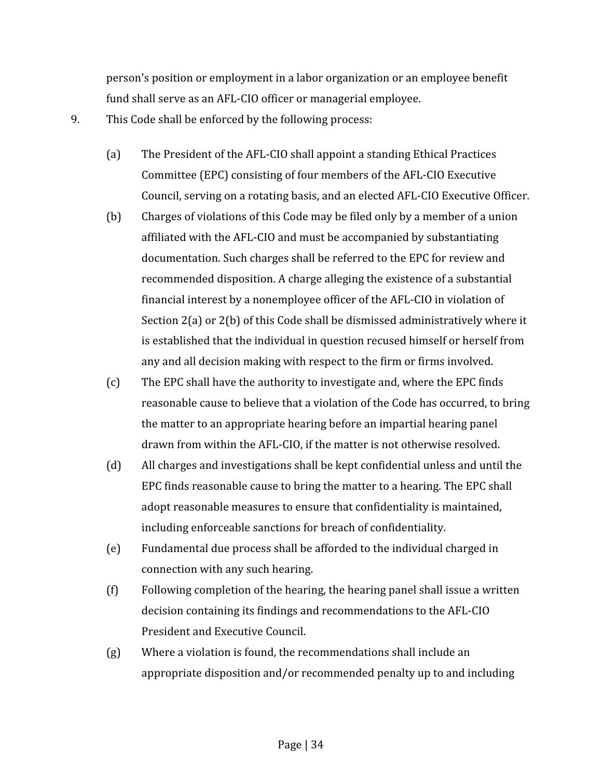person's position or employment in a labor organization or an employee benefit fund shall serve as an AFL-CIO officer or managerial employee.

- 9. This Code shall be enforced by the following process:
	- (a) The President of the AFL-CIO shall appoint a standing Ethical Practices Committee (EPC) consisting of four members of the AFL-CIO Executive Council, serving on a rotating basis, and an elected AFL-CIO Executive Officer.
	- (b) Charges of violations of this Code may be filed only by a member of a union affiliated with the AFL-CIO and must be accompanied by substantiating documentation. Such charges shall be referred to the EPC for review and recommended disposition. A charge alleging the existence of a substantial financial interest by a nonemployee officer of the AFL-CIO in violation of Section 2(a) or 2(b) of this Code shall be dismissed administratively where it is established that the individual in question recused himself or herself from any and all decision making with respect to the firm or firms involved.
	- (c) The EPC shall have the authority to investigate and, where the EPC finds reasonable cause to believe that a violation of the Code has occurred, to bring the matter to an appropriate hearing before an impartial hearing panel drawn from within the AFL-CIO, if the matter is not otherwise resolved.
	- (d) All charges and investigations shall be kept confidential unless and until the EPC finds reasonable cause to bring the matter to a hearing. The EPC shall adopt reasonable measures to ensure that confidentiality is maintained, including enforceable sanctions for breach of confidentiality.
	- (e) Fundamental due process shall be afforded to the individual charged in connection with any such hearing.
	- (f) Following completion of the hearing, the hearing panel shall issue a written decision containing its findings and recommendations to the AFL-CIO President and Executive Council.
	- (g) Where a violation is found, the recommendations shall include an appropriate disposition and/or recommended penalty up to and including